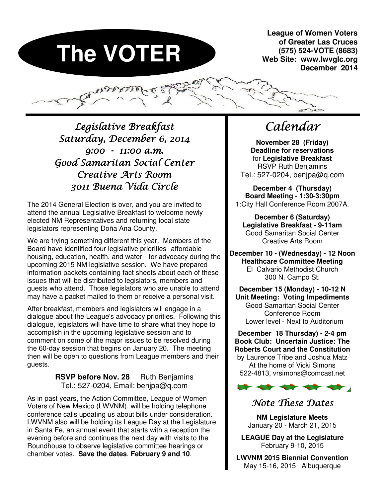# **The VOTER**

**League of Women Voters of Greater Las Cruces (575) 524-VOTE (8683) Web Site: www.lwvglc.org December 2014** 

 $\epsilon$ 

Legislative Breakfast Saturday, December 6, 2014 9:00 - 11:00 a.m. Good Samaritan Social Center Creative Arts Room 3011 Buena Vida Circle

The 2014 General Election is over, and you are invited to attend the annual Legislative Breakfast to welcome newly elected NM Representatives and returning local state legislators representing Doña Ana County.

We are trying something different this year. Members of the Board have identified four legislative priorities--affordable housing, education, health, and water-- for advocacy during the upcoming 2015 NM legislative session. We have prepared information packets containing fact sheets about each of these issues that will be distributed to legislators, members and guests who attend. Those legislators who are unable to attend may have a packet mailed to them or receive a personal visit.

After breakfast, members and legislators will engage in a dialogue about the League's advocacy priorities. Following this dialogue, legislators will have time to share what they hope to accomplish in the upcoming legislative session and to comment on some of the major issues to be resolved during the 60-day session that begins on January 20. The meeting then will be open to questions from League members and their guests.

# **RSVP before Nov. 28** Ruth Benjamins Tel.: 527-0204, Email: benjpa@q.com

As in past years, the Action Committee, League of Women Voters of New Mexico (LWVNM), will be holding telephone conference calls updating us about bills under consideration. LWVNM also will be holding its League Day at the Legislature in Santa Fe, an annual event that starts with a reception the evening before and continues the next day with visits to the Roundhouse to observe legislative committee hearings or chamber votes. **Save the dates**, **February 9 and 10**.

# Calendar

**November 28 (Friday) Deadline for reservations**  for **Legislative Breakfast** RSVP Ruth Benjamins Tel.: 527-0204, benjpa@q.com

**December 4 (Thursday) Board Meeting - 1:30-3:30pm**  1:City Hall Conference Room 2007A.

**December 6 (Saturday) Legislative Breakfast - 9-11am**  Good Samaritan Social Center Creative Arts Room

**December 10 - (Wednesday) - 12 Noon Healthcare Committee Meeting** El Calvario Methodist Church 300 N. Campo St. ٦

**December 15 (Monday) - 10-12 N Unit Meeting: Voting Impediments**  Good Samaritan Social Center Conference Room Lower level - Next to Auditorium

**December 18 Thursday) - 2-4 pm Book Club: Uncertain Justice: The Roberts Court and the Constitution** by Laurence Tribe and Joshua Matz At the home of Vicki Simons 522-4813, vrsimons@comcast.net



# Note These Dates

**NM Legislature Meets**  January 20 - March 21, 2015

**LEAGUE Day at the Legislature**  February 9-10, 2015

**LWVNM 2015 Biennial Convention**  May 15-16, 2015 Albuquerque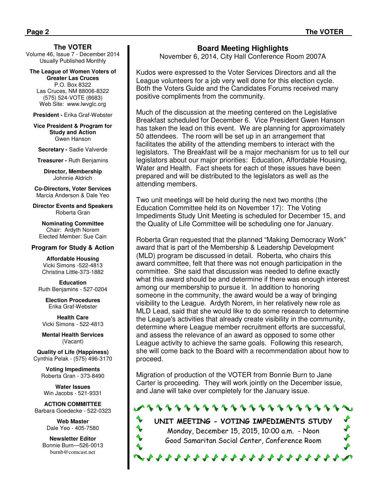**The VOTER** 

Volume 46, Issue 7 - December 2014 Usually Published Monthly

**The League of Women Voters of Greater Las Cruces**  P.O. Box 8322 Las Cruces, NM 88006-8322 (575) 524-VOTE (8683) Web Site: www.lwvglc.org

**President -** Erika Graf-Webster

**Vice President & Program for Study and Action**  Gwen Hanson

**Secretary -** Sadie Valverde

**Treasurer -** Ruth Benjamins

**Director, Membership**  Johnnie Aldrich

**Co-Directors, Voter Services**  Marcia Anderson & Dale Yeo

**Director Events and Speakers**  Roberta Gran

**Nominating Committee**  Chair: Ardyth Norem Elected Member: Sue Cain

#### **Program for Study & Action**

**Affordable Housing**  Vicki Simons -522-4813 Christina Little-373-1882

**Education**  Ruth Benjamins - 527-0204

**Election Procedures** Erika Graf-Webster

**Health Care**  Vicki Simons - 522-4813

**Mental Health Services**  (Vacant)

**Quality of Life (Happiness)**  Cynthia Pelak - (575) 496-3170

**Voting Impediments**  Roberta Gran - 373-8490

**Water Issues**  Win Jacobs - 521-9331

**ACTION COMMITTEE**  Barbara Goedecke - 522-0323

> **Web Master** Dale Yeo - 405-7580

**Newsletter Editor**  Bonnie Burn—526-0013 burnb@comcast.net

#### **Board Meeting Highlights**

November 6, 2014, City Hall Conference Room 2007A

Kudos were expressed to the Voter Services Directors and all the League volunteers for a job very well done for this election cycle. Both the Voters Guide and the Candidates Forums received many positive compliments from the community.

Much of the discussion at the meeting centered on the Legislative Breakfast scheduled for December 6. Vice President Gwen Hanson has taken the lead on this event. We are planning for approximately 50 attendees. The room will be set up in an arrangement that facilitates the ability of the attending members to interact with the legislators. The Breakfast will be a major mechanism for us to tell our legislators about our major priorities: Education, Affordable Housing, Water and Health. Fact sheets for each of these issues have been prepared and will be distributed to the legislators as well as the attending members.

Two unit meetings will be held during the next two months (the Education Committee held its on November 17): The Voting Impediments Study Unit Meeting is scheduled for December 15, and the Quality of Life Committee will be scheduling one for January.

Roberta Gran requested that the planned "Making Democracy Work" award that is part of the Membership & Leadership Development (MLD) program be discussed in detail. Roberta, who chairs this award committee, felt that there was not enough participation in the committee. She said that discussion was needed to define exactly what this award should be and determine if there was enough interest among our membership to pursue it. In addition to honoring someone in the community, the award would be a way of bringing visibility to the League. Ardyth Norem, in her relatively new role as MLD Lead, said that she would like to do some research to determine the League's activities that already create visibility in the community, determine where League member recruitment efforts are successful, and assess the relevance of an award as opposed to some other League activity to achieve the same goals. Following this research, she will come back to the Board with a recommendation about how to proceed.

Migration of production of the VOTER from Bonnie Burn to Jane Carter is proceeding. They will work jointly on the December issue, and Jane will take over completely for the January issue.



UNIT MEETING - VOTING IMPEDIMENTS STUDY Monday, December 15, 2015, 10:00 a.m. - Noon Good Samaritan Social Center, Conference Room

. . . . . . . . . . . . . . . . . .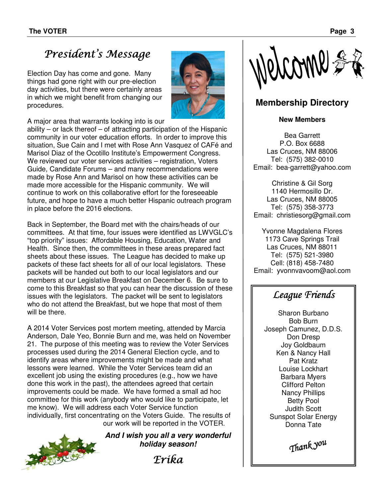# President's Message

Election Day has come and gone. Many things had gone right with our pre-election day activities, but there were certainly areas in which we might benefit from changing our procedures.



A major area that warrants looking into is our

ability – or lack thereof – of attracting participation of the Hispanic community in our voter education efforts. In order to improve this situation, Sue Cain and I met with Rose Ann Vasquez of CAFé and Marisol Diaz of the Ocotillo Institute's Empowerment Congress. We reviewed our voter services activities – registration, Voters Guide, Candidate Forums – and many recommendations were made by Rose Ann and Marisol on how these activities can be made more accessible for the Hispanic community. We will continue to work on this collaborative effort for the foreseeable future, and hope to have a much better Hispanic outreach program in place before the 2016 elections.

Back in September, the Board met with the chairs/heads of our committees. At that time, four issues were identified as LWVGLC's "top priority" issues: Affordable Housing, Education, Water and Health. Since then, the committees in these areas prepared fact sheets about these issues. The League has decided to make up packets of these fact sheets for all of our local legislators. These packets will be handed out both to our local legislators and our members at our Legislative Breakfast on December 6. Be sure to come to this Breakfast so that you can hear the discussion of these issues with the legislators. The packet will be sent to legislators who do not attend the Breakfast, but we hope that most of them will be there.

A 2014 Voter Services post mortem meeting, attended by Marcia Anderson, Dale Yeo, Bonnie Burn and me, was held on November 21. The purpose of this meeting was to review the Voter Services processes used during the 2014 General Election cycle, and to identify areas where improvements might be made and what lessons were learned. While the Voter Services team did an excellent job using the existing procedures (e.g., how we have done this work in the past), the attendees agreed that certain improvements could be made. We have formed a small ad hoc committee for this work (anybody who would like to participate, let me know). We will address each Voter Service function individually, first concentrating on the Voters Guide. The results of our work will be reported in the VOTER.



**And I wish you all a very wonderful holiday season!** 

Erika



# **Membership Directory**

#### **New Members**

Bea Garrett P.O. Box 6688 Las Cruces, NM 88006 Tel: (575) 382-0010 Email: bea-garrett@yahoo.com

Christine & Gil Sorg 1140 Hermosillo Dr. Las Cruces, NM 88005 Tel: (575) 358-3773 Email: christiesorg@gmail.com

Yvonne Magdalena Flores 1173 Cave Springs Trail Las Cruces, NM 88011 Tel: (575) 521-3980 Cell: (818) 458-7480 Email: yvonnvavoom@aol.com

# League Friends

Sharon Burbano Bob Burn Joseph Camunez, D.D.S. Don Dresp Joy Goldbaum Ken & Nancy Hall Pat Kratz Louise Lockhart Barbara Myers Clifford Pelton Nancy Phillips Betty Pool Judith Scott Sunspot Solar Energy Donna Tate

Thank you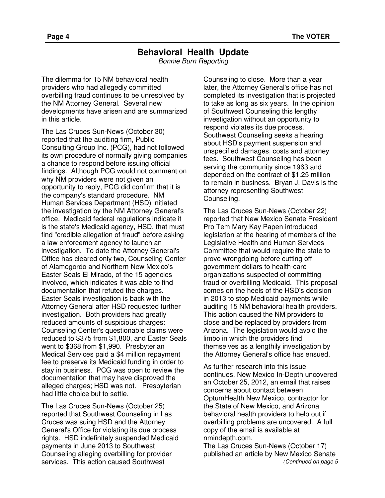# **Behavioral Health Update**

Bonnie Burn Reporting

The dilemma for 15 NM behavioral health providers who had allegedly committed overbilling fraud continues to be unresolved by the NM Attorney General. Several new developments have arisen and are summarized in this article.

The Las Cruces Sun-News (October 30) reported that the auditing firm, Public Consulting Group Inc. (PCG), had not followed its own procedure of normally giving companies a chance to respond before issuing official findings. Although PCG would not comment on why NM providers were not given an opportunity to reply, PCG did confirm that it is the company's standard procedure. NM Human Services Department (HSD) initiated the investigation by the NM Attorney General's office. Medicaid federal regulations indicate it is the state's Medicaid agency, HSD, that must find "credible allegation of fraud" before asking a law enforcement agency to launch an investigation. To date the Attorney General's Office has cleared only two, Counseling Center of Alamogordo and Northern New Mexico's Easter Seals El Mirado, of the 15 agencies involved, which indicates it was able to find documentation that refuted the charges. Easter Seals investigation is back with the Attorney General after HSD requested further investigation. Both providers had greatly reduced amounts of suspicious charges: Counseling Center's questionable claims were reduced to \$375 from \$1,800, and Easter Seals went to \$368 from \$1,990. Presbyterian Medical Services paid a \$4 million repayment fee to preserve its Medicaid funding in order to stay in business. PCG was open to review the documentation that may have disproved the alleged charges; HSD was not. Presbyterian had little choice but to settle.

The Las Cruces Sun-News (October 25) reported that Southwest Counseling in Las Cruces was suing HSD and the Attorney General's Office for violating its due process rights. HSD indefinitely suspended Medicaid payments in June 2013 to Southwest Counseling alleging overbilling for provider services. This action caused Southwest

Counseling to close. More than a year later, the Attorney General's office has not completed its investigation that is projected to take as long as six years. In the opinion of Southwest Counseling this lengthy investigation without an opportunity to respond violates its due process. Southwest Counseling seeks a hearing about HSD's payment suspension and unspecified damages, costs and attorney fees. Southwest Counseling has been serving the community since 1963 and depended on the contract of \$1.25 million to remain in business. Bryan J. Davis is the attorney representing Southwest Counseling.

The Las Cruces Sun-News (October 22) reported that New Mexico Senate President Pro Tem Mary Kay Papen introduced legislation at the hearing of members of the Legislative Health and Human Services Committee that would require the state to prove wrongdoing before cutting off government dollars to health-care organizations suspected of committing fraud or overbilling Medicaid. This proposal comes on the heels of the HSD's decision in 2013 to stop Medicaid payments while auditing 15 NM behavioral health providers. This action caused the NM providers to close and be replaced by providers from Arizona. The legislation would avoid the limbo in which the providers find themselves as a lengthily investigation by the Attorney General's office has ensued.

As further research into this issue continues, New Mexico In-Depth uncovered an October 25, 2012, an email that raises concerns about contact between OptumHealth New Mexico, contractor for the State of New Mexico, and Arizona behavioral health providers to help out if overbilling problems are uncovered. A full copy of the email is available at nmindepth.com.

The Las Cruces Sun-News (October 17) published an article by New Mexico Senate *(*Continued on page 5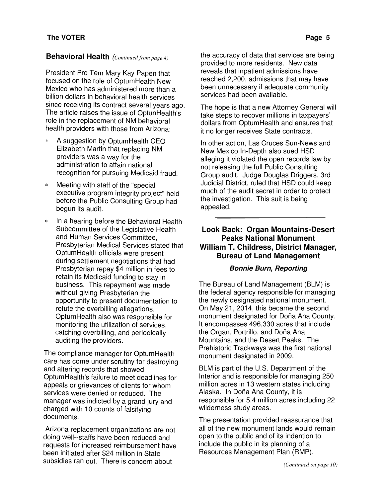# **Behavioral Health** (*Continued from page 4)*

President Pro Tem Mary Kay Papen that focused on the role of OptumHealth New Mexico who has administered more than <sup>a</sup> billion dollars in behavioral health services since receiving its contract several years ago. The article raises the issue of OptunHealth's role in the replacement of NM behavioral health providers with those from Arizona:

- ∗ A suggestion by OptumHealth CEO Elizabeth Martin that replacing NM providers was <sup>a</sup> way for the administration to attain national recognition for pursuing Medicaid fraud.
- ∗ Meeting with staff of the "special executive program integrity project" held before the Public Consulting Group had begun its audit.
- ∗ In <sup>a</sup> hearing before the Behavioral Health Subcommittee of the Legislative Health and Human Services Committee, Presbyterian Medical Services stated that OptumHealth officials were present during settlement negotiations that had Presbyterian repay \$4 million in fees to retain its Medicaid funding to stay in business. This repayment was made without giving Presbyterian the opportunity to present documentation to refute the overbilling allegations. OptumHealth also was responsible for monitoring the utilization of services, catching overbilling, and periodically auditing the providers.

The compliance manager for OptumHealth care has come under scrutiny for destroying and altering records that showed OptumHealth's failure to meet deadlines for appeals or grievances of clients for whom services were denied or reduced. The manager was indicted by <sup>a</sup> grand jury and charged with <sup>10</sup> counts of falsifying documents.

Arizona replacement organizations are not doing well--staffs have been reduced and requests for increased reimbursement have been initiated after \$24 million in State subsidies ran out. There is concern about

the accuracy of data that services are being provided to more residents. New data reveals that inpatient admissions have reached 2,200, admissions that may have been unnecessary if adequate community services had been available.

The hope is that a new Attorney General will take steps to recover millions in taxpayers' dollars from OptumHealth and ensures that it no longer receives State contracts.

In other action, Las Cruces Sun-News and New Mexico In-Depth also sued HSD alleging it violated the open records law by not releasing the full Public Consulting Group audit. Judge Douglas Driggers, 3rd Judicial District, ruled that HSD could keep much of the audit secret in order to protect the investigation. This suit is being appealed.

# **Look Back: Organ Mountains-Desert Peaks National Monument William T. Childress, District Manager, Bureau of Land Management**

### **Bonnie Burn, Reporting**

The Bureau of Land Management (BLM) is the federal agency responsible for managing the newly designated national monument. On May 21, 2014, this became the second monument designated for Doña Ana County. It encompasses 496,330 acres that include the Organ, Portrillo, and Doña Ana Mountains, and the Desert Peaks. The Prehistoric Trackways was the first national monument designated in 2009.

BLM is part of the U.S. Department of the Interior and is responsible for managing 250 million acres in 13 western states including Alaska. In Doña Ana County, it is responsible for 5.4 million acres including 22 wilderness study areas.

The presentation provided reassurance that all of the new monument lands would remain open to the public and of its indention to include the public in its planning of a Resources Management Plan (RMP).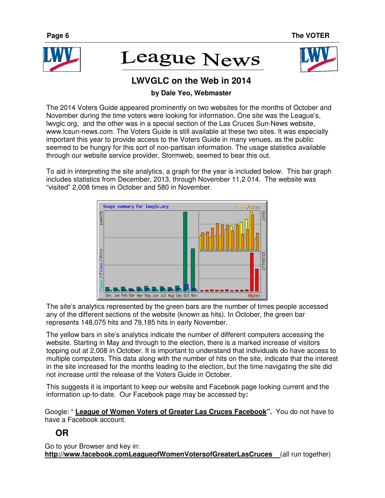

# **League News**



# **LWVGLC on the Web in 2014**

# **by Dale Yeo, Webmaster**

The 2014 Voters Guide appeared prominently on two websites for the months of October and November during the time voters were looking for information. One site was the League's, lwvglc.org, and the other was in a special section of the Las Cruces Sun-News website, www.lcsun-news.com. The Voters Guide is still available at these two sites. It was especially important this year to provide access to the Voters Guide in many venues, as the public seemed to be hungry for this sort of non-partisan information. The usage statistics available through our website service provider, Stormweb, seemed to bear this out.

To aid in interpreting the site analytics, a graph for the year is included below. This bar graph includes statistics from December, 2013, through November 11,2 014. The website was "visited" 2,008 times in October and 580 in November.



The site's analytics represented by the green bars are the number of times people accessed any of the different sections of the website (known as hits). In October, the green bar represents 148,075 hits and 79,185 hits in early November.

The yellow bars in site's analytics indicate the number of different computers accessing the website. Starting in May and through to the election, there is a marked increase of visitors topping out at 2,008 in October. It is important to understand that individuals do have access to multiple computers. This data along with the number of hits on the site, indicate that the interest in the site increased for the months leading to the election, but the time navigating the site did not increase until the release of the Voters Guide in October.

This suggests it is important to keep our website and Facebook page looking current and the information up-to-date. Our Facebook page may be accessed by**:**

Google: " **League of Women Voters of Greater Las Cruces Facebook".** You do not have to have a Facebook account.

# **OR**

Go to your Browser and key in: **http://www.facebook.comLeagueofWomenVotersofGreaterLasCruces** (all run together)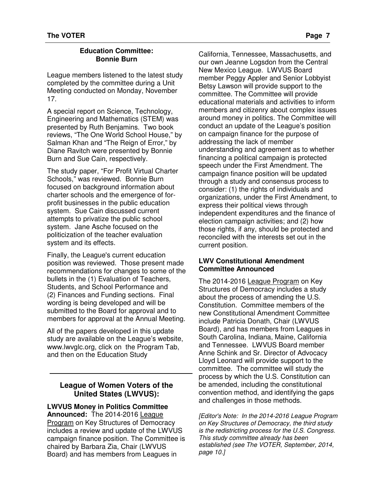#### **Education Committee: Bonnie Burn**

League members listened to the latest study completed by the committee during a Unit Meeting conducted on Monday, November 17.

A special report on Science, Technology, Engineering and Mathematics (STEM) was presented by Ruth Benjamins. Two book reviews, "The One World School House," by Salman Khan and "The Reign of Error," by Diane Ravitch were presented by Bonnie Burn and Sue Cain, respectively.

The study paper, "For Profit Virtual Charter Schools," was reviewed. Bonnie Burn focused on background information about charter schools and the emergence of forprofit businesses in the public education system. Sue Cain discussed current attempts to privatize the public school system. Jane Asche focused on the politicization of the teacher evaluation system and its effects.

Finally, the League's current education position was reviewed. Those present made recommendations for changes to some of the bullets in the (1) Evaluation of Teachers, Students, and School Performance and (2) Finances and Funding sections. Final wording is being developed and will be submitted to the Board for approval and to members for approval at the Annual Meeting.

All of the papers developed in this update study are available on the League's website, www.lwvglc.org, click on the Program Tab, and then on the Education Study

# **League of Women Voters of the United States (LWVUS):**

**LWVUS Money in Politics Committee Announced:** The 2014-2016 League Program on Key Structures of Democracy includes a review and update of the LWVUS campaign finance position. The Committee is chaired by Barbara Zia, Chair (LWVUS Board) and has members from Leagues in

California, Tennessee, Massachusetts, and our own Jeanne Logsdon from the Central New Mexico League. LWVUS Board member Peggy Appler and Senior Lobbyist Betsy Lawson will provide support to the committee. The Committee will provide educational materials and activities to inform members and citizenry about complex issues around money in politics. The Committee will conduct an update of the League's position on campaign finance for the purpose of addressing the lack of member understanding and agreement as to whether financing a political campaign is protected speech under the First Amendment. The campaign finance position will be updated through a study and consensus process to consider: (1) the rights of individuals and organizations, under the First Amendment, to express their political views through independent expenditures and the finance of election campaign activities; and (2) how those rights, if any, should be protected and reconciled with the interests set out in the current position.

#### **LWV Constitutional Amendment Committee Announced**

The 2014-2016 League Program on Key Structures of Democracy includes a study about the process of amending the U.S. Constitution. Committee members of the new Constitutional Amendment Committee include Patricia Donath, Chair (LWVUS Board), and has members from Leagues in South Carolina, Indiana, Maine, California and Tennessee. LWVUS Board member Anne Schink and Sr. Director of Advocacy Lloyd Leonard will provide support to the committee. The committee will study the process by which the U.S. Constitution can be amended, including the constitutional convention method, and identifying the gaps and challenges in those methods.

[Editor's Note: In the 2014-2016 League Program on Key Structures of Democracy, the third study is the redistricting process for the U.S. Congress. This study committee already has been established (see The VOTER, September, 2014, page 10.]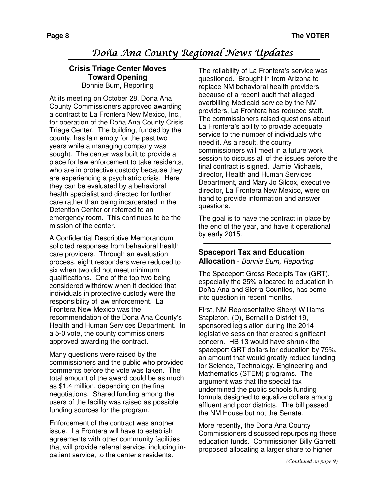# Doña Ana County Regional News Updates

#### **Crisis Triage Center Moves Toward Opening**  Bonnie Burn, Reporting

At its meeting on October 28, Doña Ana County Commissioners approved awarding a contract to La Frontera New Mexico, Inc., for operation of the Doña Ana County Crisis Triage Center. The building, funded by the county, has lain empty for the past two years while a managing company was sought. The center was built to provide a place for law enforcement to take residents, who are in protective custody because they are experiencing a psychiatric crisis. Here they can be evaluated by a behavioral health specialist and directed for further care rather than being incarcerated in the Detention Center or referred to an emergency room. This continues to be the mission of the center.

A Confidential Descriptive Memorandum solicited responses from behavioral health care providers. Through an evaluation process, eight responders were reduced to six when two did not meet minimum qualifications. One of the top two being considered withdrew when it decided that individuals in protective custody were the responsibility of law enforcement. La Frontera New Mexico was the recommendation of the Doña Ana County's Health and Human Services Department. In a 5-0 vote, the county commissioners approved awarding the contract.

Many questions were raised by the commissioners and the public who provided comments before the vote was taken. The total amount of the award could be as much as \$1.4 million, depending on the final negotiations. Shared funding among the users of the facility was raised as possible funding sources for the program.

Enforcement of the contract was another issue. La Frontera will have to establish agreements with other community facilities that will provide referral service, including inpatient service, to the center's residents.

The reliability of La Frontera's service was questioned. Brought in from Arizona to replace NM behavioral health providers because of a recent audit that alleged overbilling Medicaid service by the NM providers, La Frontera has reduced staff. The commissioners raised questions about La Frontera's ability to provide adequate service to the number of individuals who need it. As a result, the county commissioners will meet in a future work session to discuss all of the issues before the final contract is signed. Jamie Michaels, director, Health and Human Services Department, and Mary Jo Silcox, executive director, La Frontera New Mexico, were on hand to provide information and answer questions.

The goal is to have the contract in place by the end of the year, and have it operational by early 2015.

### **Spaceport Tax and Education Allocation** - Bonnie Burn, Reporting

The Spaceport Gross Receipts Tax (GRT), especially the 25% allocated to education in Doña Ana and Sierra Counties, has come into question in recent months.

First, NM Representative Sheryl Williams Stapleton, (D), Bernalillo District 19, sponsored legislation during the 2014 legislative session that created significant concern. HB 13 would have shrunk the spaceport GRT dollars for education by 75%, an amount that would greatly reduce funding for Science, Technology, Engineering and Mathematics (STEM) programs. The argument was that the special tax undermined the public schools funding formula designed to equalize dollars among affluent and poor districts. The bill passed the NM House but not the Senate.

More recently, the Doña Ana County Commissioners discussed repurposing these education funds. Commissioner Billy Garrett proposed allocating a larger share to higher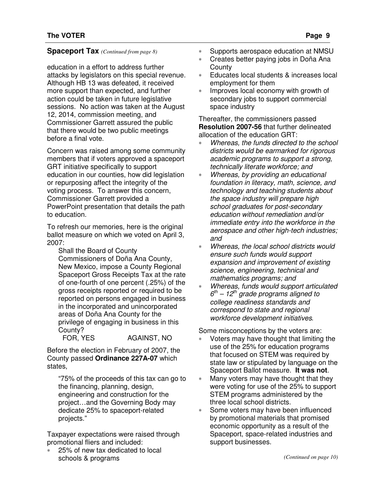education in a effort to address further attacks by legislators on this special revenue. Although HB 13 was defeated, it received more support than expected, and further action could be taken in future legislative sessions. No action was taken at the August 12, 2014, commission meeting, and Commissioner Garrett assured the public that there would be two public meetings before a final vote.

Concern was raised among some community members that if voters approved a spaceport GRT initiative specifically to support education in our counties, how did legislation or repurposing affect the integrity of the voting process. To answer this concern, Commissioner Garrett provided a PowerPoint presentation that details the path to education.

To refresh our memories, here is the original ballot measure on which we voted on April 3, 2007:

Shall the Board of County Commissioners of Doña Ana County, New Mexico, impose a County Regional Spaceport Gross Receipts Tax at the rate of one-fourth of one percent (.25%) of the gross receipts reported or required to be reported on persons engaged in business in the incorporated and unincorporated areas of Doña Ana County for the privilege of engaging in business in this County?

FOR, YES AGAINST, NO

Before the election in February of 2007, the County passed **Ordinance 227A-07** which states,

"75% of the proceeds of this tax can go to the financing, planning, design, engineering and construction for the project…and the Governing Body may dedicate 25% to spaceport-related projects."

Taxpayer expectations were raised through promotional fliers and included:

25% of new tax dedicated to local schools & programs

- **Spaceport Tax** *(Continued from page 8)* ∗ Supports aerospace education at NMSU
	- ∗ Creates better paying jobs in Doña Ana **County**
	- ∗ Educates local students & increases local employment for them
	- Improves local economy with growth of secondary jobs to support commercial space industry

Thereafter, the commissioners passed **Resolution 2007-56** that further delineated allocation of the education GRT:

- ∗ Whereas, the funds directed to the school districts would be earmarked for rigorous academic programs to support a strong, technically literate workforce; and
- ∗ Whereas, by providing an educational foundation in literacy, math, science, and technology and teaching students about the space industry will prepare high school graduates for post-secondary education without remediation and/or immediate entry into the workforce in the aerospace and other high-tech industries; and
- ∗ Whereas, the local school districts would ensure such funds would support expansion and improvement of existing science, engineering, technical and mathematics programs; and
- Whereas, funds would support articulated  $6<sup>th</sup> - 12<sup>th</sup>$  grade programs aligned to college readiness standards and correspond to state and regional workforce development initiatives.

Some misconceptions by the voters are:

- Voters may have thought that limiting the use of the 25% for education programs that focused on STEM was required by state law or stipulated by language on the Spaceport Ballot measure. **It was not**.
- Many voters may have thought that they were voting for use of the 25% to support STEM programs administered by the three local school districts.
- Some voters may have been influenced by promotional materials that promised economic opportunity as a result of the Spaceport, space-related industries and support businesses.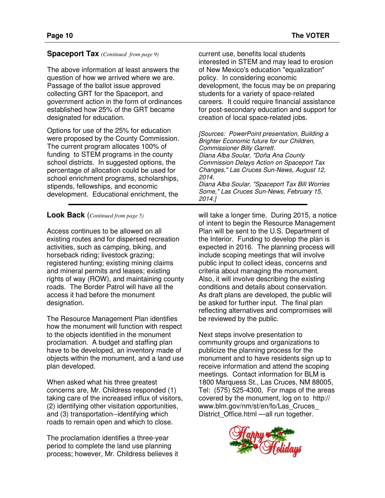#### **Spaceport Tax** *(Continued from page 9)*

The above information at least answers the question of how we arrived where we are. Passage of the ballot issue approved collecting GRT for the Spaceport, and government action in the form of ordinances established how 25% of the GRT became designated for education.

Options for use of the 25% for education were proposed by the County Commission. The current program allocates 100% of funding to STEM programs in the county school districts. In suggested options, the percentage of allocation could be used for school enrichment programs, scholarships, stipends, fellowships, and economic development. Educational enrichment, the

### **Look Back** (*Continued from page 5)*

Access continues to be allowed on all existing routes and for dispersed recreation activities, such as camping, biking, and horseback riding; livestock grazing; registered hunting; existing mining claims and mineral permits and leases; existing rights of way (ROW), and maintaining county roads. The Border Patrol will have all the access it had before the monument designation.

The Resource Management Plan identifies how the monument will function with respect to the objects identified in the monument proclamation. A budget and staffing plan have to be developed, an inventory made of objects within the monument, and a land use plan developed.

When asked what his three greatest concerns are, Mr. Childress responded (1) taking care of the increased influx of visitors, (2) identifying other visitation opportunities, and (3) transportation--identifying which roads to remain open and which to close.

The proclamation identifies a three-year period to complete the land use planning process; however, Mr. Childress believes it current use, benefits local students interested in STEM and may lead to erosion of New Mexico's education "equalization" policy. In considering economic development, the focus may be on preparing students for a variety of space-related careers. It could require financial assistance for post-secondary education and support for creation of local space-related jobs.

[Sources: PowerPoint presentation, Building a Brighter Economic future for our Children, Commissioner Billy Garrett. Diana Alba Soular, "Doña Ana County Commission Delays Action on Spaceport Tax Changes," Las Cruces Sun-News, August 12, 2014. Diana Alba Soular, "Spaceport Tax Bill Worries Some," Las Cruces Sun-News, February 15, 2014.]

will take a longer time. During 2015, a notice of intent to begin the Resource Management Plan will be sent to the U.S. Department of the Interior. Funding to develop the plan is expected in 2016. The planning process will include scoping meetings that will involve public input to collect ideas, concerns and criteria about managing the monument. Also, it will involve describing the existing conditions and details about conservation. As draft plans are developed, the public will be asked for further input. The final plan reflecting alternatives and compromises will be reviewed by the public.

Next steps involve presentation to community groups and organizations to publicize the planning process for the monument and to have residents sign up to receive information and attend the scoping meetings. Contact information for BLM is 1800 Marquess St., Las Cruces, NM 88005, Tel: (575) 525-4300, For maps of the areas covered by the monument, log on to http:// www.blm.gov/nm/st/en/fo/Las\_Cruces\_ District\_Office.html —all run together.

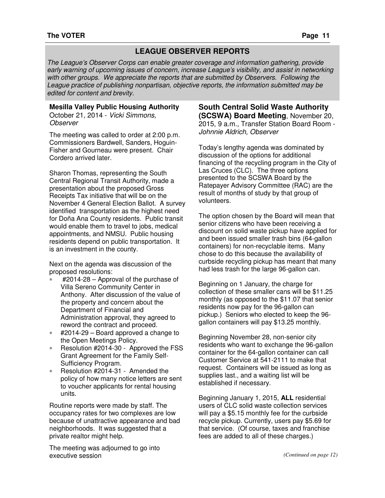# **LEAGUE OBSERVER REPORTS**

The League's Observer Corps can enable greater coverage and information gathering, provide early warning of upcoming issues of concern, increase League's visibility, and assist in networking with other groups. We appreciate the reports that are submitted by Observers. Following the League practice of publishing nonpartisan, objective reports, the information submitted may be edited for content and brevity.

#### **Mesilla Valley Public Housing Authority**

October 21, 2014 - Vicki Simmons, **Observer** 

The meeting was called to order at 2:00 p.m. Commissioners Bardwell, Sanders, Hoguin-Fisher and Gourneau were present. Chair Cordero arrived later.

Sharon Thomas, representing the South Central Regional Transit Authority, made a presentation about the proposed Gross Receipts Tax initiative that will be on the November 4 General Election Ballot. A survey identified transportation as the highest need for Doña Ana County residents. Public transit would enable them to travel to jobs, medical appointments, and NMSU. Public housing residents depend on public transportation. It is an investment in the county.

Next on the agenda was discussion of the proposed resolutions:

- ∗ #2014-28 Approval of the purchase of Villa Sereno Community Center in Anthony. After discussion of the value of the property and concern about the Department of Financial and Administration approval, they agreed to reword the contract and proceed.
- ∗ #2014-29 Board approved a change to the Open Meetings Policy.
- ∗ Resolution #2014-30 Approved the FSS Grant Agreement for the Family Self-Sufficiency Program.
- ∗ Resolution #2014-31 Amended the policy of how many notice letters are sent to voucher applicants for rental housing units.

Routine reports were made by staff. The occupancy rates for two complexes are low because of unattractive appearance and bad neighborhoods. It was suggested that a private realtor might help.

The meeting was adjourned to go into executive session

**South Central Solid Waste Authority (SCSWA) Board Meeting**, November 20, 2015, 9 a.m., Transfer Station Board Room - Johnnie Aldrich, Observer

Today's lengthy agenda was dominated by discussion of the options for additional financing of the recycling program in the City of Las Cruces (CLC). The three options presented to the SCSWA Board by the Ratepayer Advisory Committee (RAC) are the result of months of study by that group of volunteers.

The option chosen by the Board will mean that senior citizens who have been receiving a discount on solid waste pickup have applied for and been issued smaller trash bins (64-gallon containers) for non-recyclable items. Many chose to do this because the availability of curbside recycling pickup has meant that many had less trash for the large 96-gallon can.

Beginning on 1 January, the charge for collection of these smaller cans will be \$11.25 monthly (as opposed to the \$11.07 that senior residents now pay for the 96-gallon can pickup.) Seniors who elected to keep the 96 gallon containers will pay \$13.25 monthly.

Beginning November 28, non-senior city residents who want to exchange the 96-gallon container for the 64-gallon container can call Customer Service at 541-2111 to make that request. Containers will be issued as long as supplies last., and a waiting list will be established if necessary.

Beginning January 1, 2015, **ALL** residential users of CLC solid waste collection services will pay a \$5.15 monthly fee for the curbside recycle pickup. Currently, users pay \$5.69 for that service. (Of course, taxes and franchise fees are added to all of these charges.)